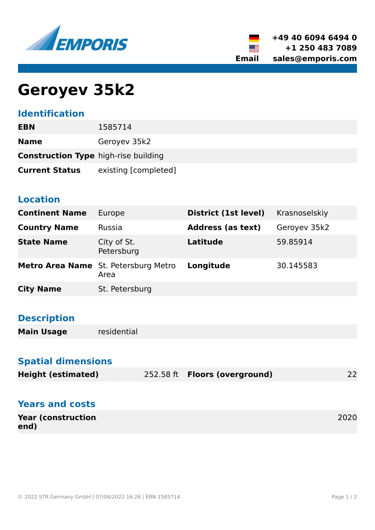



# **Geroyev 35k2**

### **Identification**

| EBN                                         | 1585714              |
|---------------------------------------------|----------------------|
| <b>Name</b>                                 | Geroyev 35k2         |
| <b>Construction Type high-rise building</b> |                      |
| <b>Current Status</b>                       | existing [completed] |

### **Location**

| <b>Continent Name</b> | Europe                                       | District (1st level)     | Krasnoselskiy |
|-----------------------|----------------------------------------------|--------------------------|---------------|
| <b>Country Name</b>   | Russia                                       | <b>Address (as text)</b> | Geroyev 35k2  |
| <b>State Name</b>     | City of St.<br>Petersburg                    | Latitude                 | 59.85914      |
|                       | Metro Area Name St. Petersburg Metro<br>Area | Longitude                | 30.145583     |
| <b>City Name</b>      | St. Petersburg                               |                          |               |

### **Description**

**Main Usage** residential

### **Spatial dimensions**

| <b>Height (estimated)</b><br>252.58 ft <b>Floors (overground)</b> | 22 |
|-------------------------------------------------------------------|----|
|-------------------------------------------------------------------|----|

### **Years and costs**

| <b>Year (construction)</b> | 2020 |
|----------------------------|------|
| end)                       |      |